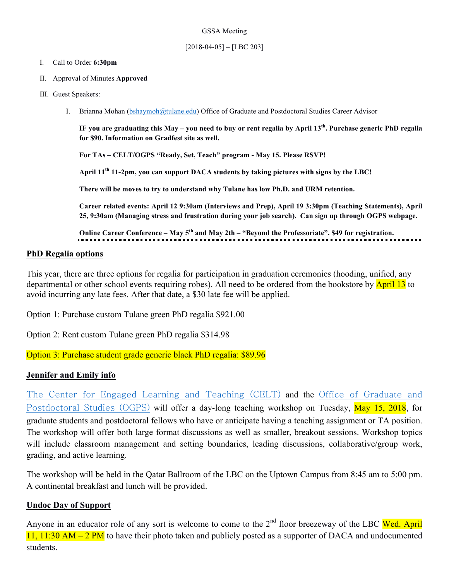### GSSA Meeting

## $[2018-04-05] - [LBC 203]$

## I. Call to Order **6:30pm**

- II. Approval of Minutes **Approved**
- III. Guest Speakers:
	- I. Brianna Mohan (bshaymoh@tulane.edu) Office of Graduate and Postdoctoral Studies Career Advisor

**IF you are graduating this May – you need to buy or rent regalia by April 13th. Purchase generic PhD regalia for \$90. Information on Gradfest site as well.**

**For TAs – CELT/OGPS "Ready, Set, Teach" program - May 15. Please RSVP!**

**April 11th 11-2pm, you can support DACA students by taking pictures with signs by the LBC!**

**There will be moves to try to understand why Tulane has low Ph.D. and URM retention.** 

**Career related events: April 12 9:30am (Interviews and Prep), April 19 3:30pm (Teaching Statements), April 25, 9:30am (Managing stress and frustration during your job search). Can sign up through OGPS webpage.**

**Online Career Conference – May 5th and May 2th – "Beyond the Professoriate". \$49 for registration.** 

# **PhD Regalia options**

This year, there are three options for regalia for participation in graduation ceremonies (hooding, unified, any departmental or other school events requiring robes). All need to be ordered from the bookstore by **April 13** to avoid incurring any late fees. After that date, a \$30 late fee will be applied.

Option 1: Purchase custom Tulane green PhD regalia \$921.00

Option 2: Rent custom Tulane green PhD regalia \$314.98

Option 3: Purchase student grade generic black PhD regalia: \$89.96

# **Jennifer and Emily info**

The Center for Engaged Learning and Teaching (CELT) and the Office of Graduate and Postdoctoral Studies (OGPS) will offer a day-long teaching workshop on Tuesday, May 15, 2018, for graduate students and postdoctoral fellows who have or anticipate having a teaching assignment or TA position. The workshop will offer both large format discussions as well as smaller, breakout sessions. Workshop topics will include classroom management and setting boundaries, leading discussions, collaborative/group work, grading, and active learning.

The workshop will be held in the Qatar Ballroom of the LBC on the Uptown Campus from 8:45 am to 5:00 pm. A continental breakfast and lunch will be provided.

# **Undoc Day of Support**

Anyone in an educator role of any sort is welcome to come to the  $2<sup>nd</sup>$  floor breezeway of the LBC Wed. April 11, 11:30 AM – 2 PM to have their photo taken and publicly posted as a supporter of DACA and undocumented students.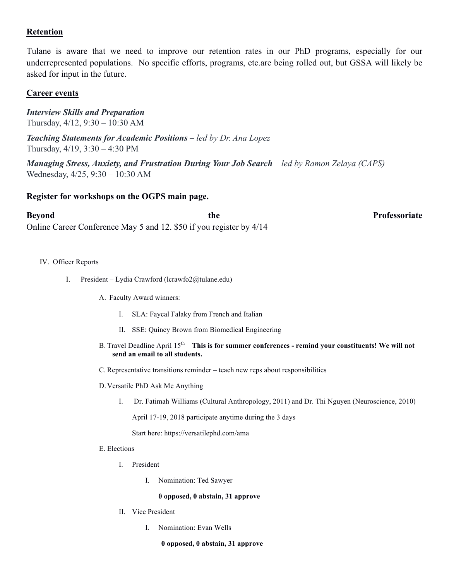# **Retention**

Tulane is aware that we need to improve our retention rates in our PhD programs, especially for our underrepresented populations. No specific efforts, programs, etc.are being rolled out, but GSSA will likely be asked for input in the future.

# **Career events**

*Interview Skills and Preparation* Thursday, 4/12, 9:30 – 10:30 AM

*Teaching Statements for Academic Positions – led by Dr. Ana Lopez* Thursday, 4/19, 3:30 – 4:30 PM

*Managing Stress, Anxiety, and Frustration During Your Job Search – led by Ramon Zelaya (CAPS)* Wednesday, 4/25, 9:30 – 10:30 AM

# **Register for workshops on the OGPS main page.**

**Beyond** Professoriate **the Professoriate** Online Career Conference May 5 and 12. \$50 if you register by 4/14

- IV. Officer Reports
	- I. President Lydia Crawford (lcrawfo2@tulane.edu)
		- A. Faculty Award winners:
			- I. SLA: Faycal Falaky from French and Italian
			- II. SSE: Quincy Brown from Biomedical Engineering
		- B. Travel Deadline April 15<sup>th</sup> **This is for summer conferences remind your constituents! We will not send an email to all students.**
		- C. Representative transitions reminder teach new reps about responsibilities
		- D.Versatile PhD Ask Me Anything
			- I. Dr. Fatimah Williams (Cultural Anthropology, 2011) and Dr. Thi Nguyen (Neuroscience, 2010)

April 17-19, 2018 participate anytime during the 3 days

Start here: https://versatilephd.com/ama

- E. Elections
	- I. President
		- I. Nomination: Ted Sawyer

#### **0 opposed, 0 abstain, 31 approve**

- II. Vice President
	- I. Nomination: Evan Wells

#### **0 opposed, 0 abstain, 31 approve**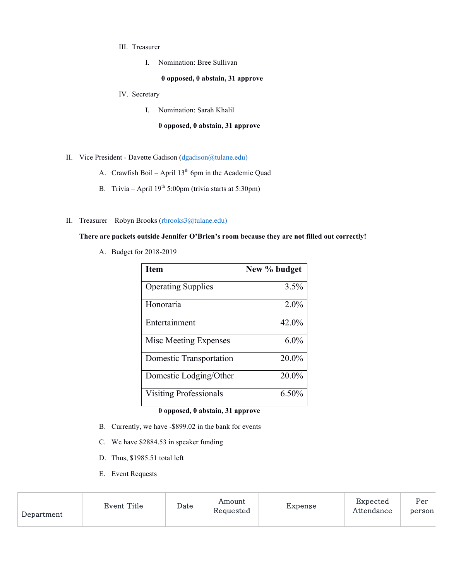- III. Treasurer
	- I. Nomination: Bree Sullivan

#### **0 opposed, 0 abstain, 31 approve**

- IV. Secretary
	- I. Nomination: Sarah Khalil

#### **0 opposed, 0 abstain, 31 approve**

- II. Vice President Davette Gadison (dgadison@tulane.edu)
	- A. Crawfish Boil April  $13<sup>th</sup>$  6pm in the Academic Quad
	- B. Trivia April  $19<sup>th</sup> 5:00pm$  (trivia starts at 5:30pm)
- II. Treasurer Robyn Brooks (rbrooks3@tulane.edu)

#### **There are packets outside Jennifer O'Brien's room because they are not filled out correctly!**

A. Budget for 2018-2019

| <b>Item</b>                   | New % budget |
|-------------------------------|--------------|
| <b>Operating Supplies</b>     | 3.5%         |
| Honoraria                     | $2.0\%$      |
| Entertainment                 | 42.0%        |
| Misc Meeting Expenses         | $6.0\%$      |
| Domestic Transportation       | 20.0%        |
| Domestic Lodging/Other        | 20.0%        |
| <b>Visiting Professionals</b> | $6.50\%$     |

## **0 opposed, 0 abstain, 31 approve**

- B. Currently, we have -\$899.02 in the bank for events
- C. We have \$2884.53 in speaker funding
- D. Thus, \$1985.51 total left
- E. Event Requests

| Department | Event Title | Date | Amount<br>Requested | Expense | Expected<br>Attendance | Per<br>person |
|------------|-------------|------|---------------------|---------|------------------------|---------------|
|            |             |      |                     |         |                        |               |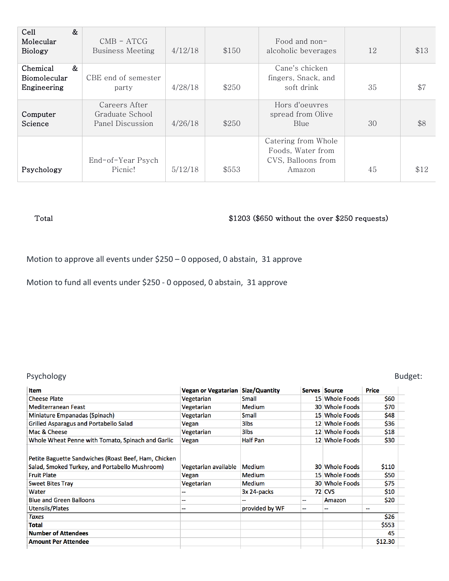| &<br>Cell<br>Molecular<br><b>Biology</b>     | $CMB - ATCG$<br><b>Business Meeting</b>              | 4/12/18 | \$150 | Food and non-<br>alcoholic beverages                                     | 12 | \$13 |
|----------------------------------------------|------------------------------------------------------|---------|-------|--------------------------------------------------------------------------|----|------|
| &<br>Chemical<br>Biomolecular<br>Engineering | CBE end of semester<br>party                         | 4/28/18 | \$250 | Cane's chicken<br>fingers, Snack, and<br>soft drink                      | 35 | \$7  |
| Computer<br>Science                          | Careers After<br>Graduate School<br>Panel Discussion | 4/26/18 | \$250 | Hors d'oeuvres<br>spread from Olive<br>Blue                              | 30 | \$8  |
| Psychology                                   | End-of-Year Psych<br>Picnic!                         | 5/12/18 | \$553 | Catering from Whole<br>Foods, Water from<br>CVS, Balloons from<br>Amazon | 45 | \$12 |

# Total  $$1203$  (\$650 without the over \$250 requests)

Motion to approve all events under  $$250 - 0$  opposed, 0 abstain, 31 approve

Motion to fund all events under \$250 - 0 opposed, 0 abstain, 31 approve

## Psychology Budget:

| ltem                                                                                                                                                             | Vegan or Vegatarian                         | Size/Quantity                                           |    | Serves Source                                                       | <b>Price</b>                  |
|------------------------------------------------------------------------------------------------------------------------------------------------------------------|---------------------------------------------|---------------------------------------------------------|----|---------------------------------------------------------------------|-------------------------------|
| <b>Cheese Plate</b>                                                                                                                                              | Vegetarian                                  | Small                                                   |    | 15 Whole Foods                                                      | \$60                          |
| <b>Mediterranean Feast</b>                                                                                                                                       | Vegetarian                                  | <b>Medium</b>                                           |    | 30 Whole Foods                                                      | \$70                          |
| Miniature Empanadas (Spinach)                                                                                                                                    | Vegetarian                                  | Small                                                   |    | 15 Whole Foods                                                      | \$48                          |
| Grilled Asparagus and Portabello Salad                                                                                                                           | Vegan                                       | 3 <sub>lbs</sub>                                        |    | 12 Whole Foods                                                      | \$36                          |
| Mac & Cheese                                                                                                                                                     | Vegetarian                                  | 3 <sub>lbs</sub>                                        |    | 12 Whole Foods                                                      | \$18                          |
| Whole Wheat Penne with Tomato, Spinach and Garlic                                                                                                                | Vegan                                       | <b>Half Pan</b>                                         |    | 12 Whole Foods                                                      | \$30                          |
| Petite Baguette Sandwiches (Roast Beef, Ham, Chicken<br>Salad, Smoked Turkey, and Portabello Mushroom)<br><b>Fruit Plate</b><br><b>Sweet Bites Tray</b><br>Water | Vegetarian available<br>Vegan<br>Vegetarian | <b>Medium</b><br>Medium<br><b>Medium</b><br>3x 24-packs |    | 30 Whole Foods<br>15 Whole Foods<br>30 Whole Foods<br><b>72 CVS</b> | \$110<br>\$50<br>\$75<br>\$10 |
| <b>Blue and Green Balloons</b>                                                                                                                                   | --                                          |                                                         | -- | Amazon                                                              | \$20                          |
| Utensils/Plates                                                                                                                                                  | --                                          | provided by WF                                          | -- | --                                                                  | $\overline{\phantom{a}}$      |
| Taxes                                                                                                                                                            |                                             |                                                         |    |                                                                     | \$26                          |
| Total                                                                                                                                                            |                                             |                                                         |    |                                                                     | \$553                         |
| <b>Number of Attendees</b>                                                                                                                                       |                                             |                                                         |    |                                                                     | 45                            |
| <b>Amount Per Attendee</b>                                                                                                                                       |                                             |                                                         |    |                                                                     | \$12.30                       |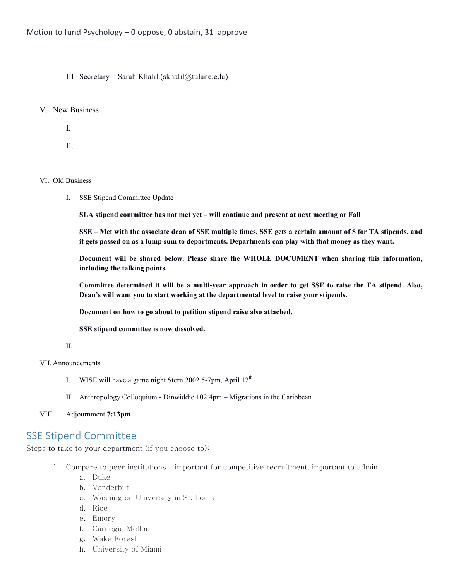III. Secretary – Sarah Khalil (skhalil@tulane.edu)

#### V. New Business

I.

II.

#### VI. Old Business

I. SSE Stipend Committee Update

**SLA stipend committee has not met yet – will continue and present at next meeting or Fall**

**SSE – Met with the associate dean of SSE multiple times. SSE gets a certain amount of \$ for TA stipends, and it gets passed on as a lump sum to departments. Departments can play with that money as they want.** 

**Document will be shared below. Please share the WHOLE DOCUMENT when sharing this information, including the talking points.** 

**Committee determined it will be a multi-year approach in order to get SSE to raise the TA stipend. Also, Dean's will want you to start working at the departmental level to raise your stipends.** 

**Document on how to go about to petition stipend raise also attached.**

**SSE stipend committee is now dissolved.** 

#### II.

## VII. Announcements

- I. WISE will have a game night Stern 2002 5-7pm, April  $12<sup>th</sup>$
- II. Anthropology Colloquium Dinwiddie 102 4pm Migrations in the Caribbean

#### VIII. Adjournment **7:13pm**

# **SSE Stipend Committee**

Steps to take to your department (if you choose to):

- 1. Compare to peer institutions important for competitive recruitment, important to admin
	- a. Duke
	- b. Vanderbilt
	- c. Washington University in St. Louis
	- d. Rice
	- e. Emory
	- f. Carnegie Mellon
	- g. Wake Forest
	- h. University of Miami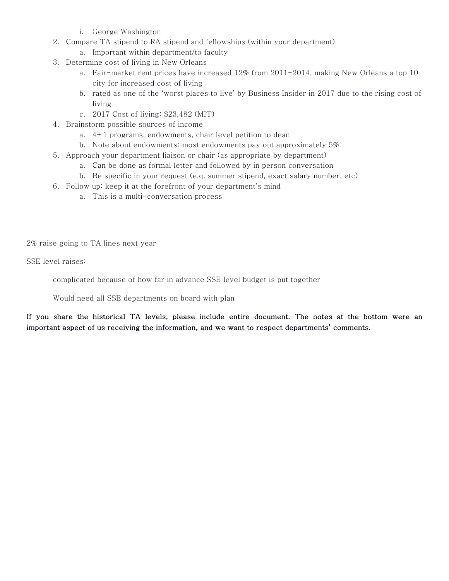- i. George Washington
- 2. Compare TA stipend to RA stipend and fellowships (within your department)
	- a. Important within department/to faculty
- 3. Determine cost of living in New Orleans
	- a. Fair-market rent prices have increased 12% from 2011-2014, making New Orleans a top 10 city for increased cost of living
	- b. rated as one of the 'worst places to live' by Business Insider in 2017 due to the rising cost of living
	- c. 2017 Cost of living: \$23,482 (MIT)
- 4. Brainstorm possible sources of income
	- a. 4+1 programs, endowments, chair level petition to dean
	- b. Note about endowments: most endowments pay out approximately 5%
- 5. Approach your department liaison or chair (as appropriate by department)
	- a. Can be done as formal letter and followed by in person conversation
	- b. Be specific in your request (e.q. summer stipend, exact salary number, etc)
- 6. Follow up: keep it at the forefront of your department's mind
	- a. This is a multi-conversation process

2% raise going to TA lines next year

SSE level raises:

complicated because of how far in advance SSE level budget is put together

Would need all SSE departments on board with plan

If you share the historical TA levels, please include entire document. The notes at the bottom were an important aspect of us receiving the information, and we want to respect departments' comments.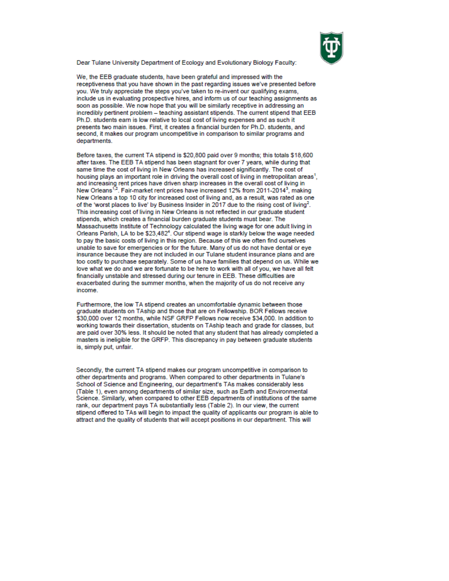

Dear Tulane University Department of Ecology and Evolutionary Biology Faculty:

We, the EEB graduate students, have been grateful and impressed with the receptiveness that you have shown in the past regarding issues we've presented before you. We truly appreciate the steps you've taken to re-invent our qualifying exams. include us in evaluating prospective hires, and inform us of our teaching assignments as soon as possible. We now hope that you will be similarly receptive in addressing an incredibly pertinent problem - teaching assistant stipends. The current stipend that EEB Ph.D. students earn is low relative to local cost of living expenses and as such it presents two main issues. First, it creates a financial burden for Ph.D. students, and second, it makes our program uncompetitive in comparison to similar programs and departments.

Before taxes, the current TA stipend is \$20,800 paid over 9 months; this totals \$18,600 after taxes. The EEB TA stipend has been stagnant for over 7 years, while during that same time the cost of living in New Orleans has increased significantly. The cost of housing plays an important role in driving the overall cost of living in metropolitan areas<sup>1</sup>. and increasing rent prices have driven sharp increases in the overall cost of living in<br>New Orleans<sup>1,2</sup>. Fair-market rent prices have increased 12% from 2011-2014<sup>3</sup>, making New Orleans a top 10 city for increased cost of living and, as a result, was rated as one of the 'worst places to live' by Business Insider in 2017 due to the rising cost of living<sup>2</sup>. This increasing cost of living in New Orleans is not reflected in our graduate student stipends, which creates a financial burden graduate students must bear. The Massachusetts Institute of Technology calculated the living wage for one adult living in Orleans Parish, LA to be \$23,482<sup>4</sup>. Our stipend wage is starkly below the wage needed to pay the basic costs of living in this region. Because of this we often find ourselves unable to save for emergencies or for the future. Many of us do not have dental or eye insurance because they are not included in our Tulane student insurance plans and are too costly to purchase separately. Some of us have families that depend on us. While we love what we do and we are fortunate to be here to work with all of you, we have all felt financially unstable and stressed during our tenure in EEB. These difficulties are exacerbated during the summer months, when the majority of us do not receive any income.

Furthermore, the low TA stipend creates an uncomfortable dynamic between those graduate students on TAship and those that are on Fellowship. BOR Fellows receive \$30,000 over 12 months, while NSF GRFP Fellows now receive \$34,000. In addition to working towards their dissertation, students on TAship teach and grade for classes, but are paid over 30% less. It should be noted that any student that has already completed a masters is ineligible for the GRFP. This discrepancy in pay between graduate students is, simply put, unfair.

Secondly, the current TA stipend makes our program uncompetitive in comparison to other departments and programs. When compared to other departments in Tulane's School of Science and Engineering, our department's TAs makes considerably less (Table 1), even among departments of similar size, such as Earth and Environmental Science. Similarly, when compared to other EEB departments of institutions of the same rank, our department pays TA substantially less (Table 2). In our view, the current stipend offered to TAs will begin to impact the quality of applicants our program is able to attract and the quality of students that will accept positions in our department. This will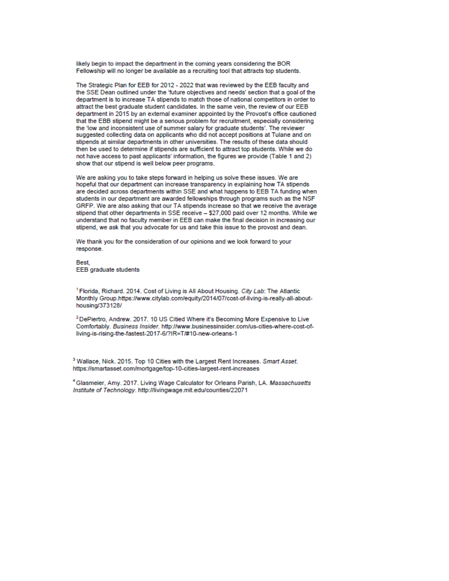likely begin to impact the department in the coming years considering the BOR Fellowship will no longer be available as a recruiting tool that attracts top students.

The Strategic Plan for EEB for 2012 - 2022 that was reviewed by the EEB faculty and the SSE Dean outlined under the 'future objectives and needs' section that a goal of the department is to increase TA stipends to match those of national competitors in order to attract the best graduate student candidates. In the same vein, the review of our EEB department in 2015 by an external examiner appointed by the Provost's office cautioned that the EBB stipend might be a serious problem for recruitment, especially considering the 'low and inconsistent use of summer salary for graduate students'. The reviewer suggested collecting data on applicants who did not accept positions at Tulane and on stipends at similar departments in other universities. The results of these data should then be used to determine if stipends are sufficient to attract top students. While we do not have access to past applicants' information, the figures we provide (Table 1 and 2) show that our stipend is well below peer programs.

We are asking you to take steps forward in helping us solve these issues. We are hopeful that our department can increase transparency in explaining how TA stipends are decided across departments within SSE and what happens to EEB TA funding when students in our department are awarded fellowships through programs such as the NSF GRFP. We are also asking that our TA stipends increase so that we receive the average stipend that other departments in SSE receive - \$27,000 paid over 12 months. While we understand that no faculty member in EEB can make the final decision in increasing our stipend, we ask that you advocate for us and take this issue to the provost and dean.

We thank you for the consideration of our opinions and we look forward to your response.

**Best EEB** graduate students

<sup>1</sup> Florida, Richard, 2014, Cost of Living is All About Housing, City Lab: The Atlantic Monthly Group.https://www.citylab.com/equity/2014/07/cost-of-living-is-really-all-abouthousing/373128/

<sup>2</sup> DePiertro, Andrew. 2017. 10 US Citied Where it's Becoming More Expensive to Live Comfortably. Business Insider. http://www.businessinsider.com/us-cities-where-cost-ofliving-is-rising-the-fastest-2017-6/?IR=T/#10-new-orleans-1

<sup>3</sup> Wallace, Nick. 2015. Top 10 Cities with the Largest Rent Increases. Smart Asset. https://smartasset.com/mortgage/top-10-cities-largest-rent-increases

<sup>4</sup> Glasmeier, Amy. 2017. Living Wage Calculator for Orleans Parish, LA. Massachusetts Institute of Technology, http://livingwage.mit.edu/counties/22071